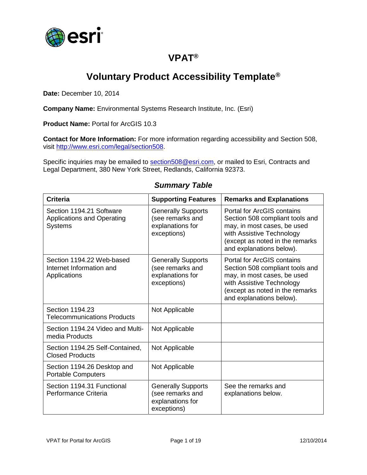

### **VPAT®**

# **Voluntary Product Accessibility Template®**

**Date:** December 10, 2014

**Company Name:** Environmental Systems Research Institute, Inc. (Esri)

**Product Name:** Portal for ArcGIS 10.3

**Contact for More Information:** For more information regarding accessibility and Section 508, visit [http://www.esri.com/legal/section508.](http://www.esri.com/legal/section508)

Specific inquiries may be emailed to [section508@esri.com,](mailto:section508@esri.com) or mailed to Esri, Contracts and Legal Department, 380 New York Street, Redlands, California 92373.

| <b>Criteria</b>                                                                 | <b>Supporting Features</b>                                                       | <b>Remarks and Explanations</b>                                                                                                                                                                 |
|---------------------------------------------------------------------------------|----------------------------------------------------------------------------------|-------------------------------------------------------------------------------------------------------------------------------------------------------------------------------------------------|
| Section 1194.21 Software<br><b>Applications and Operating</b><br><b>Systems</b> | <b>Generally Supports</b><br>(see remarks and<br>explanations for<br>exceptions) | <b>Portal for ArcGIS contains</b><br>Section 508 compliant tools and<br>may, in most cases, be used<br>with Assistive Technology<br>(except as noted in the remarks<br>and explanations below). |
| Section 1194.22 Web-based<br>Internet Information and<br>Applications           | <b>Generally Supports</b><br>(see remarks and<br>explanations for<br>exceptions) | <b>Portal for ArcGIS contains</b><br>Section 508 compliant tools and<br>may, in most cases, be used<br>with Assistive Technology<br>(except as noted in the remarks<br>and explanations below). |
| Section 1194.23<br><b>Telecommunications Products</b>                           | Not Applicable                                                                   |                                                                                                                                                                                                 |
| Section 1194.24 Video and Multi-<br>media Products                              | Not Applicable                                                                   |                                                                                                                                                                                                 |
| Section 1194.25 Self-Contained,<br><b>Closed Products</b>                       | Not Applicable                                                                   |                                                                                                                                                                                                 |
| Section 1194.26 Desktop and<br><b>Portable Computers</b>                        | Not Applicable                                                                   |                                                                                                                                                                                                 |
| Section 1194.31 Functional<br>Performance Criteria                              | <b>Generally Supports</b><br>(see remarks and<br>explanations for<br>exceptions) | See the remarks and<br>explanations below.                                                                                                                                                      |

#### *Summary Table*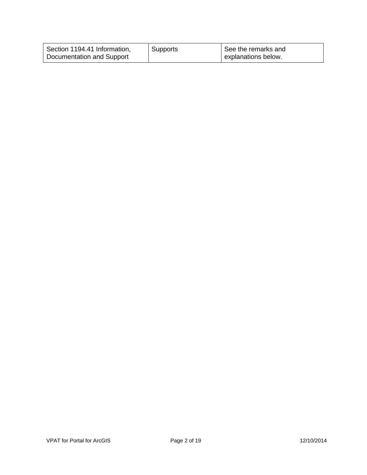| Section 1194.41 Information, | Supports | See the remarks and |
|------------------------------|----------|---------------------|
| Documentation and Support    |          | explanations below. |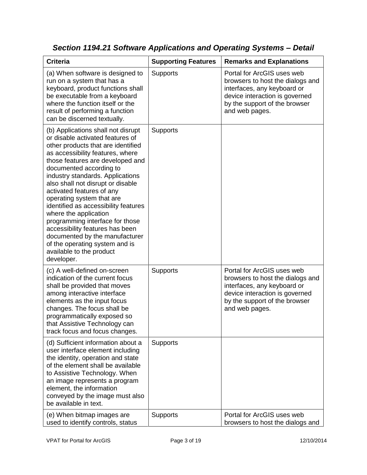| <b>Criteria</b>                                                                                                                                                                                                                                                                                                                                                                                                                                                                                                                                                                                         | <b>Supporting Features</b> | <b>Remarks and Explanations</b>                                                                                                                                                    |
|---------------------------------------------------------------------------------------------------------------------------------------------------------------------------------------------------------------------------------------------------------------------------------------------------------------------------------------------------------------------------------------------------------------------------------------------------------------------------------------------------------------------------------------------------------------------------------------------------------|----------------------------|------------------------------------------------------------------------------------------------------------------------------------------------------------------------------------|
| (a) When software is designed to<br>run on a system that has a<br>keyboard, product functions shall<br>be executable from a keyboard<br>where the function itself or the<br>result of performing a function<br>can be discerned textually.                                                                                                                                                                                                                                                                                                                                                              | <b>Supports</b>            | Portal for ArcGIS uses web<br>browsers to host the dialogs and<br>interfaces, any keyboard or<br>device interaction is governed<br>by the support of the browser<br>and web pages. |
| (b) Applications shall not disrupt<br>or disable activated features of<br>other products that are identified<br>as accessibility features, where<br>those features are developed and<br>documented according to<br>industry standards. Applications<br>also shall not disrupt or disable<br>activated features of any<br>operating system that are<br>identified as accessibility features<br>where the application<br>programming interface for those<br>accessibility features has been<br>documented by the manufacturer<br>of the operating system and is<br>available to the product<br>developer. | <b>Supports</b>            |                                                                                                                                                                                    |
| (c) A well-defined on-screen<br>indication of the current focus<br>shall be provided that moves<br>among interactive interface<br>elements as the input focus<br>changes. The focus shall be<br>programmatically exposed so<br>that Assistive Technology can<br>track focus and focus changes.                                                                                                                                                                                                                                                                                                          | <b>Supports</b>            | Portal for ArcGIS uses web<br>browsers to host the dialogs and<br>interfaces, any keyboard or<br>device interaction is governed<br>by the support of the browser<br>and web pages. |
| (d) Sufficient information about a<br>user interface element including<br>the identity, operation and state<br>of the element shall be available<br>to Assistive Technology. When<br>an image represents a program<br>element, the information<br>conveyed by the image must also<br>be available in text.                                                                                                                                                                                                                                                                                              | <b>Supports</b>            |                                                                                                                                                                                    |
| (e) When bitmap images are<br>used to identify controls, status                                                                                                                                                                                                                                                                                                                                                                                                                                                                                                                                         | Supports                   | Portal for ArcGIS uses web<br>browsers to host the dialogs and                                                                                                                     |

*Section 1194.21 Software Applications and Operating Systems – Detail*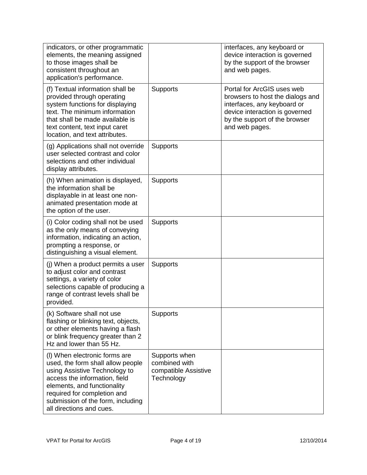| indicators, or other programmatic<br>elements, the meaning assigned<br>to those images shall be<br>consistent throughout an<br>application's performance.                                                                                                           |                                                                      | interfaces, any keyboard or<br>device interaction is governed<br>by the support of the browser<br>and web pages.                                                                   |
|---------------------------------------------------------------------------------------------------------------------------------------------------------------------------------------------------------------------------------------------------------------------|----------------------------------------------------------------------|------------------------------------------------------------------------------------------------------------------------------------------------------------------------------------|
| (f) Textual information shall be<br>provided through operating<br>system functions for displaying<br>text. The minimum information<br>that shall be made available is<br>text content, text input caret<br>location, and text attributes.                           | <b>Supports</b>                                                      | Portal for ArcGIS uses web<br>browsers to host the dialogs and<br>interfaces, any keyboard or<br>device interaction is governed<br>by the support of the browser<br>and web pages. |
| (g) Applications shall not override<br>user selected contrast and color<br>selections and other individual<br>display attributes.                                                                                                                                   | <b>Supports</b>                                                      |                                                                                                                                                                                    |
| (h) When animation is displayed,<br>the information shall be<br>displayable in at least one non-<br>animated presentation mode at<br>the option of the user.                                                                                                        | <b>Supports</b>                                                      |                                                                                                                                                                                    |
| (i) Color coding shall not be used<br>as the only means of conveying<br>information, indicating an action,<br>prompting a response, or<br>distinguishing a visual element.                                                                                          | Supports                                                             |                                                                                                                                                                                    |
| (j) When a product permits a user<br>to adjust color and contrast<br>settings, a variety of color<br>selections capable of producing a<br>range of contrast levels shall be<br>provided.                                                                            | <b>Supports</b>                                                      |                                                                                                                                                                                    |
| (k) Software shall not use<br>flashing or blinking text, objects,<br>or other elements having a flash<br>or blink frequency greater than 2<br>Hz and lower than 55 Hz.                                                                                              | <b>Supports</b>                                                      |                                                                                                                                                                                    |
| (I) When electronic forms are<br>used, the form shall allow people<br>using Assistive Technology to<br>access the information, field<br>elements, and functionality<br>required for completion and<br>submission of the form, including<br>all directions and cues. | Supports when<br>combined with<br>compatible Assistive<br>Technology |                                                                                                                                                                                    |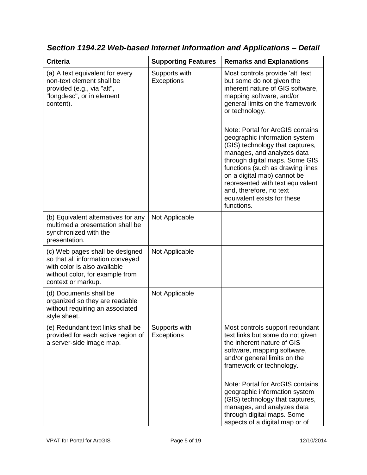| <b>Criteria</b>                                                                                                                                              | <b>Supporting Features</b>         | <b>Remarks and Explanations</b>                                                                                                                                                                                                                                                                                                                                                                                                                                                                                                           |
|--------------------------------------------------------------------------------------------------------------------------------------------------------------|------------------------------------|-------------------------------------------------------------------------------------------------------------------------------------------------------------------------------------------------------------------------------------------------------------------------------------------------------------------------------------------------------------------------------------------------------------------------------------------------------------------------------------------------------------------------------------------|
| (a) A text equivalent for every<br>non-text element shall be<br>provided (e.g., via "alt",<br>"longdesc", or in element<br>content).                         | Supports with<br><b>Exceptions</b> | Most controls provide 'alt' text<br>but some do not given the<br>inherent nature of GIS software,<br>mapping software, and/or<br>general limits on the framework<br>or technology.<br>Note: Portal for ArcGIS contains<br>geographic information system<br>(GIS) technology that captures,<br>manages, and analyzes data<br>through digital maps. Some GIS<br>functions (such as drawing lines<br>on a digital map) cannot be<br>represented with text equivalent<br>and, therefore, no text<br>equivalent exists for these<br>functions. |
| (b) Equivalent alternatives for any<br>multimedia presentation shall be<br>synchronized with the<br>presentation.                                            | Not Applicable                     |                                                                                                                                                                                                                                                                                                                                                                                                                                                                                                                                           |
| (c) Web pages shall be designed<br>so that all information conveyed<br>with color is also available<br>without color, for example from<br>context or markup. | Not Applicable                     |                                                                                                                                                                                                                                                                                                                                                                                                                                                                                                                                           |
| (d) Documents shall be<br>organized so they are readable<br>without requiring an associated<br>style sheet.                                                  | Not Applicable                     |                                                                                                                                                                                                                                                                                                                                                                                                                                                                                                                                           |
| (e) Redundant text links shall be<br>provided for each active region of<br>a server-side image map.                                                          | Supports with<br>Exceptions        | Most controls support redundant<br>text links but some do not given<br>the inherent nature of GIS<br>software, mapping software,<br>and/or general limits on the<br>framework or technology.                                                                                                                                                                                                                                                                                                                                              |
|                                                                                                                                                              |                                    | Note: Portal for ArcGIS contains<br>geographic information system<br>(GIS) technology that captures,<br>manages, and analyzes data<br>through digital maps. Some<br>aspects of a digital map or of                                                                                                                                                                                                                                                                                                                                        |

*Section 1194.22 Web-based Internet Information and Applications – Detail*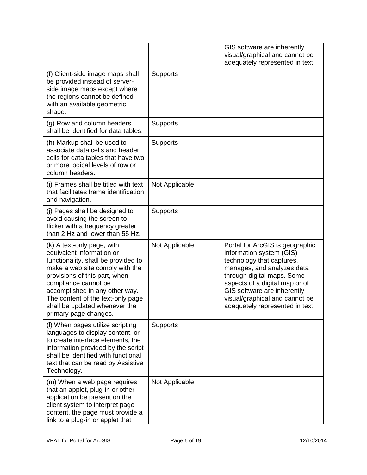|                                                                                                                                                                                                                                                                                                                             |                 | GIS software are inherently<br>visual/graphical and cannot be<br>adequately represented in text.                                                                                                                                                                                           |
|-----------------------------------------------------------------------------------------------------------------------------------------------------------------------------------------------------------------------------------------------------------------------------------------------------------------------------|-----------------|--------------------------------------------------------------------------------------------------------------------------------------------------------------------------------------------------------------------------------------------------------------------------------------------|
| (f) Client-side image maps shall<br>be provided instead of server-<br>side image maps except where<br>the regions cannot be defined<br>with an available geometric<br>shape.                                                                                                                                                | <b>Supports</b> |                                                                                                                                                                                                                                                                                            |
| (g) Row and column headers<br>shall be identified for data tables.                                                                                                                                                                                                                                                          | Supports        |                                                                                                                                                                                                                                                                                            |
| (h) Markup shall be used to<br>associate data cells and header<br>cells for data tables that have two<br>or more logical levels of row or<br>column headers.                                                                                                                                                                | <b>Supports</b> |                                                                                                                                                                                                                                                                                            |
| (i) Frames shall be titled with text<br>that facilitates frame identification<br>and navigation.                                                                                                                                                                                                                            | Not Applicable  |                                                                                                                                                                                                                                                                                            |
| (j) Pages shall be designed to<br>avoid causing the screen to<br>flicker with a frequency greater<br>than 2 Hz and lower than 55 Hz.                                                                                                                                                                                        | <b>Supports</b> |                                                                                                                                                                                                                                                                                            |
| (k) A text-only page, with<br>equivalent information or<br>functionality, shall be provided to<br>make a web site comply with the<br>provisions of this part, when<br>compliance cannot be<br>accomplished in any other way.<br>The content of the text-only page<br>shall be updated whenever the<br>primary page changes. | Not Applicable  | Portal for ArcGIS is geographic<br>information system (GIS)<br>technology that captures,<br>manages, and analyzes data<br>through digital maps. Some<br>aspects of a digital map or of<br>GIS software are inherently<br>visual/graphical and cannot be<br>adequately represented in text. |
| (I) When pages utilize scripting<br>languages to display content, or<br>to create interface elements, the<br>information provided by the script<br>shall be identified with functional<br>text that can be read by Assistive<br>Technology.                                                                                 | <b>Supports</b> |                                                                                                                                                                                                                                                                                            |
| (m) When a web page requires<br>that an applet, plug-in or other<br>application be present on the<br>client system to interpret page<br>content, the page must provide a<br>link to a plug-in or applet that                                                                                                                | Not Applicable  |                                                                                                                                                                                                                                                                                            |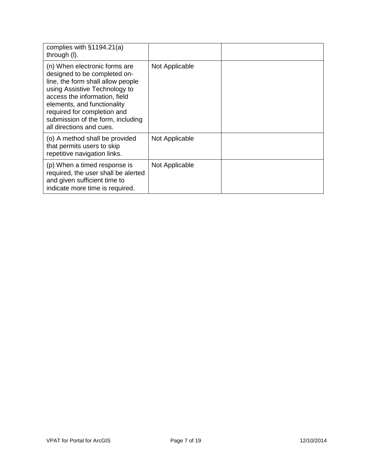| complies with $§1194.21(a)$<br>through (I).                                                                                                                                                                                                                                                         |                |  |
|-----------------------------------------------------------------------------------------------------------------------------------------------------------------------------------------------------------------------------------------------------------------------------------------------------|----------------|--|
| (n) When electronic forms are<br>designed to be completed on-<br>line, the form shall allow people<br>using Assistive Technology to<br>access the information, field<br>elements, and functionality<br>required for completion and<br>submission of the form, including<br>all directions and cues. | Not Applicable |  |
| (o) A method shall be provided<br>that permits users to skip<br>repetitive navigation links.                                                                                                                                                                                                        | Not Applicable |  |
| (p) When a timed response is<br>required, the user shall be alerted<br>and given sufficient time to<br>indicate more time is required.                                                                                                                                                              | Not Applicable |  |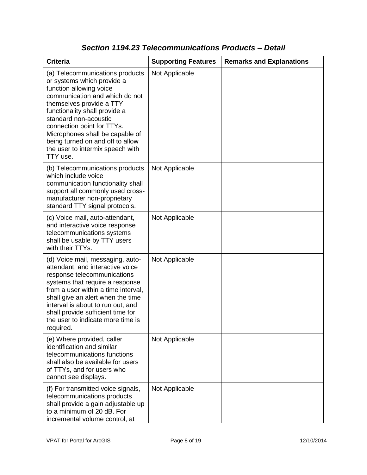| <b>Criteria</b>                                                                                                                                                                                                                                                                                                                                                       | <b>Supporting Features</b> | <b>Remarks and Explanations</b> |
|-----------------------------------------------------------------------------------------------------------------------------------------------------------------------------------------------------------------------------------------------------------------------------------------------------------------------------------------------------------------------|----------------------------|---------------------------------|
| (a) Telecommunications products<br>or systems which provide a<br>function allowing voice<br>communication and which do not<br>themselves provide a TTY<br>functionality shall provide a<br>standard non-acoustic<br>connection point for TTYs.<br>Microphones shall be capable of<br>being turned on and off to allow<br>the user to intermix speech with<br>TTY use. | Not Applicable             |                                 |
| (b) Telecommunications products<br>which include voice<br>communication functionality shall<br>support all commonly used cross-<br>manufacturer non-proprietary<br>standard TTY signal protocols.                                                                                                                                                                     | Not Applicable             |                                 |
| (c) Voice mail, auto-attendant,<br>and interactive voice response<br>telecommunications systems<br>shall be usable by TTY users<br>with their TTYs.                                                                                                                                                                                                                   | Not Applicable             |                                 |
| (d) Voice mail, messaging, auto-<br>attendant, and interactive voice<br>response telecommunications<br>systems that require a response<br>from a user within a time interval,<br>shall give an alert when the time<br>interval is about to run out, and<br>shall provide sufficient time for<br>the user to indicate more time is<br>required.                        | Not Applicable             |                                 |
| (e) Where provided, caller<br>identification and similar<br>telecommunications functions<br>shall also be available for users<br>of TTYs, and for users who<br>cannot see displays.                                                                                                                                                                                   | Not Applicable             |                                 |
| (f) For transmitted voice signals,<br>telecommunications products<br>shall provide a gain adjustable up<br>to a minimum of 20 dB. For<br>incremental volume control, at                                                                                                                                                                                               | Not Applicable             |                                 |

### *Section 1194.23 Telecommunications Products – Detail*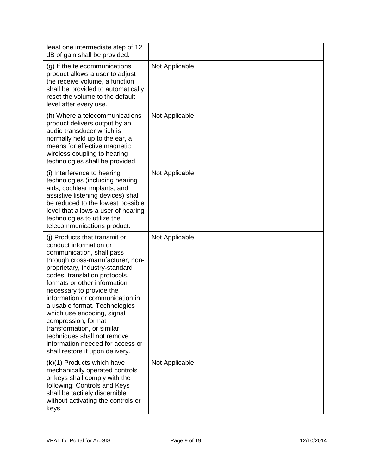| least one intermediate step of 12<br>dB of gain shall be provided.                                                                                                                                                                                                                                                                                                                                                                                                                                                   |                |  |
|----------------------------------------------------------------------------------------------------------------------------------------------------------------------------------------------------------------------------------------------------------------------------------------------------------------------------------------------------------------------------------------------------------------------------------------------------------------------------------------------------------------------|----------------|--|
| (g) If the telecommunications<br>product allows a user to adjust<br>the receive volume, a function<br>shall be provided to automatically<br>reset the volume to the default<br>level after every use.                                                                                                                                                                                                                                                                                                                | Not Applicable |  |
| (h) Where a telecommunications<br>product delivers output by an<br>audio transducer which is<br>normally held up to the ear, a<br>means for effective magnetic<br>wireless coupling to hearing<br>technologies shall be provided.                                                                                                                                                                                                                                                                                    | Not Applicable |  |
| (i) Interference to hearing<br>technologies (including hearing<br>aids, cochlear implants, and<br>assistive listening devices) shall<br>be reduced to the lowest possible<br>level that allows a user of hearing<br>technologies to utilize the<br>telecommunications product.                                                                                                                                                                                                                                       | Not Applicable |  |
| (i) Products that transmit or<br>conduct information or<br>communication, shall pass<br>through cross-manufacturer, non-<br>proprietary, industry-standard<br>codes, translation protocols,<br>formats or other information<br>necessary to provide the<br>information or communication in<br>a usable format. Technologies<br>which use encoding, signal<br>compression, format<br>transformation, or similar<br>techniques shall not remove<br>information needed for access or<br>shall restore it upon delivery. | Not Applicable |  |
| (k)(1) Products which have<br>mechanically operated controls<br>or keys shall comply with the<br>following: Controls and Keys<br>shall be tactilely discernible<br>without activating the controls or<br>keys.                                                                                                                                                                                                                                                                                                       | Not Applicable |  |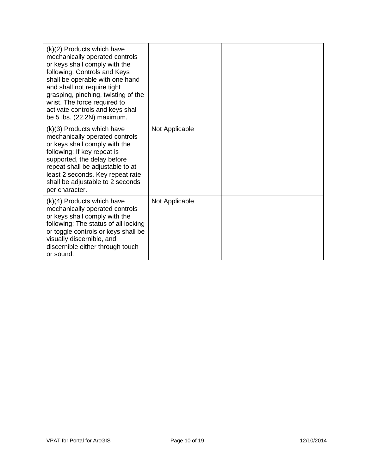| $(k)(2)$ Products which have<br>mechanically operated controls<br>or keys shall comply with the<br>following: Controls and Keys<br>shall be operable with one hand<br>and shall not require tight<br>grasping, pinching, twisting of the<br>wrist. The force required to<br>activate controls and keys shall<br>be 5 lbs. (22.2N) maximum. |                |  |
|--------------------------------------------------------------------------------------------------------------------------------------------------------------------------------------------------------------------------------------------------------------------------------------------------------------------------------------------|----------------|--|
| (k)(3) Products which have<br>mechanically operated controls<br>or keys shall comply with the<br>following: If key repeat is<br>supported, the delay before<br>repeat shall be adjustable to at<br>least 2 seconds. Key repeat rate<br>shall be adjustable to 2 seconds<br>per character.                                                  | Not Applicable |  |
| $(k)(4)$ Products which have<br>mechanically operated controls<br>or keys shall comply with the<br>following: The status of all locking<br>or toggle controls or keys shall be<br>visually discernible, and<br>discernible either through touch<br>or sound.                                                                               | Not Applicable |  |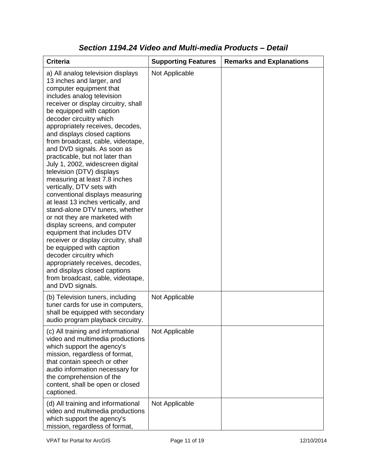| <b>Criteria</b>                                                                                                                                                                                                                                                                                                                                                                                                                                                                                                                                                                                                                                                                                                                                                                                                                                                                                                                                                           | <b>Supporting Features</b> | <b>Remarks and Explanations</b> |
|---------------------------------------------------------------------------------------------------------------------------------------------------------------------------------------------------------------------------------------------------------------------------------------------------------------------------------------------------------------------------------------------------------------------------------------------------------------------------------------------------------------------------------------------------------------------------------------------------------------------------------------------------------------------------------------------------------------------------------------------------------------------------------------------------------------------------------------------------------------------------------------------------------------------------------------------------------------------------|----------------------------|---------------------------------|
| a) All analog television displays<br>13 inches and larger, and<br>computer equipment that<br>includes analog television<br>receiver or display circuitry, shall<br>be equipped with caption<br>decoder circuitry which<br>appropriately receives, decodes,<br>and displays closed captions<br>from broadcast, cable, videotape,<br>and DVD signals. As soon as<br>practicable, but not later than<br>July 1, 2002, widescreen digital<br>television (DTV) displays<br>measuring at least 7.8 inches<br>vertically, DTV sets with<br>conventional displays measuring<br>at least 13 inches vertically, and<br>stand-alone DTV tuners, whether<br>or not they are marketed with<br>display screens, and computer<br>equipment that includes DTV<br>receiver or display circuitry, shall<br>be equipped with caption<br>decoder circuitry which<br>appropriately receives, decodes,<br>and displays closed captions<br>from broadcast, cable, videotape,<br>and DVD signals. | Not Applicable             |                                 |
| (b) Television tuners, including<br>tuner cards for use in computers,<br>shall be equipped with secondary<br>audio program playback circuitry.                                                                                                                                                                                                                                                                                                                                                                                                                                                                                                                                                                                                                                                                                                                                                                                                                            | Not Applicable             |                                 |
| (c) All training and informational<br>video and multimedia productions<br>which support the agency's<br>mission, regardless of format,<br>that contain speech or other<br>audio information necessary for<br>the comprehension of the<br>content, shall be open or closed<br>captioned.                                                                                                                                                                                                                                                                                                                                                                                                                                                                                                                                                                                                                                                                                   | Not Applicable             |                                 |
| (d) All training and informational<br>video and multimedia productions<br>which support the agency's<br>mission, regardless of format,                                                                                                                                                                                                                                                                                                                                                                                                                                                                                                                                                                                                                                                                                                                                                                                                                                    | Not Applicable             |                                 |

### *Section 1194.24 Video and Multi-media Products – Detail*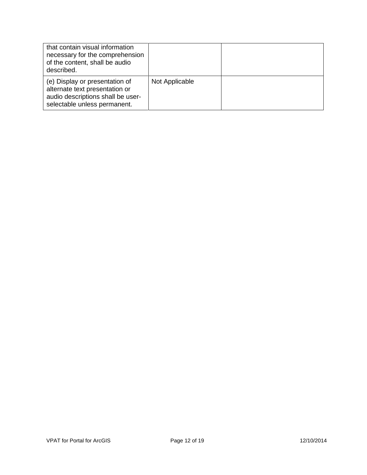| that contain visual information<br>necessary for the comprehension<br>of the content, shall be audio<br>described.                    |                |  |
|---------------------------------------------------------------------------------------------------------------------------------------|----------------|--|
| (e) Display or presentation of<br>alternate text presentation or<br>audio descriptions shall be user-<br>selectable unless permanent. | Not Applicable |  |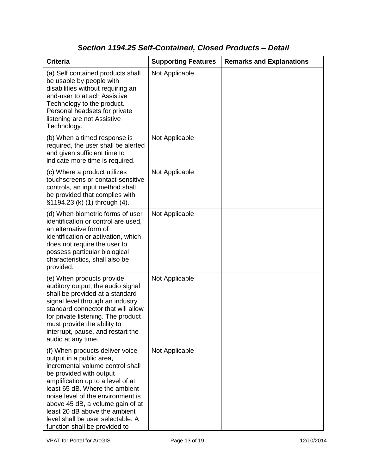## *Section 1194.25 Self-Contained, Closed Products – Detail*

| <b>Criteria</b>                                                                                                                                                                                                                                                                                                                                                                   | <b>Supporting Features</b> | <b>Remarks and Explanations</b> |
|-----------------------------------------------------------------------------------------------------------------------------------------------------------------------------------------------------------------------------------------------------------------------------------------------------------------------------------------------------------------------------------|----------------------------|---------------------------------|
| (a) Self contained products shall<br>be usable by people with<br>disabilities without requiring an<br>end-user to attach Assistive<br>Technology to the product.<br>Personal headsets for private<br>listening are not Assistive<br>Technology.                                                                                                                                   | Not Applicable             |                                 |
| (b) When a timed response is<br>required, the user shall be alerted<br>and given sufficient time to<br>indicate more time is required.                                                                                                                                                                                                                                            | Not Applicable             |                                 |
| (c) Where a product utilizes<br>touchscreens or contact-sensitive<br>controls, an input method shall<br>be provided that complies with<br>§1194.23 (k) (1) through (4).                                                                                                                                                                                                           | Not Applicable             |                                 |
| (d) When biometric forms of user<br>identification or control are used,<br>an alternative form of<br>identification or activation, which<br>does not require the user to<br>possess particular biological<br>characteristics, shall also be<br>provided.                                                                                                                          | Not Applicable             |                                 |
| (e) When products provide<br>auditory output, the audio signal<br>shall be provided at a standard<br>signal level through an industry<br>standard connector that will allow<br>for private listening. The product<br>must provide the ability to<br>interrupt, pause, and restart the<br>audio at any time.                                                                       | Not Applicable             |                                 |
| (f) When products deliver voice<br>output in a public area,<br>incremental volume control shall<br>be provided with output<br>amplification up to a level of at<br>least 65 dB. Where the ambient<br>noise level of the environment is<br>above 45 dB, a volume gain of at<br>least 20 dB above the ambient<br>level shall be user selectable. A<br>function shall be provided to | Not Applicable             |                                 |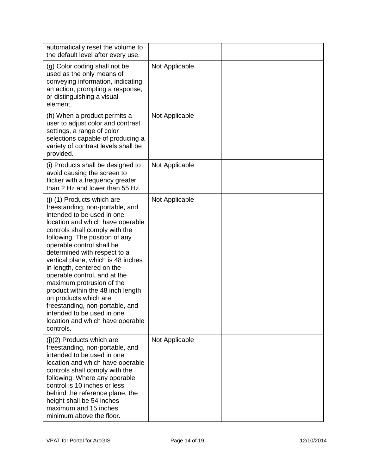| automatically reset the volume to<br>the default level after every use.                                                                                                                                                                                                                                                                                                                                                                                                                                                                                                           |                |  |
|-----------------------------------------------------------------------------------------------------------------------------------------------------------------------------------------------------------------------------------------------------------------------------------------------------------------------------------------------------------------------------------------------------------------------------------------------------------------------------------------------------------------------------------------------------------------------------------|----------------|--|
| (g) Color coding shall not be<br>used as the only means of<br>conveying information, indicating<br>an action, prompting a response,<br>or distinguishing a visual<br>element.                                                                                                                                                                                                                                                                                                                                                                                                     | Not Applicable |  |
| (h) When a product permits a<br>user to adjust color and contrast<br>settings, a range of color<br>selections capable of producing a<br>variety of contrast levels shall be<br>provided.                                                                                                                                                                                                                                                                                                                                                                                          | Not Applicable |  |
| (i) Products shall be designed to<br>avoid causing the screen to<br>flicker with a frequency greater<br>than 2 Hz and lower than 55 Hz.                                                                                                                                                                                                                                                                                                                                                                                                                                           | Not Applicable |  |
| (j) (1) Products which are<br>freestanding, non-portable, and<br>intended to be used in one<br>location and which have operable<br>controls shall comply with the<br>following: The position of any<br>operable control shall be<br>determined with respect to a<br>vertical plane, which is 48 inches<br>in length, centered on the<br>operable control, and at the<br>maximum protrusion of the<br>product within the 48 inch length<br>on products which are<br>freestanding, non-portable, and<br>intended to be used in one<br>location and which have operable<br>controls. | Not Applicable |  |
| $(j)(2)$ Products which are<br>freestanding, non-portable, and<br>intended to be used in one<br>location and which have operable<br>controls shall comply with the<br>following: Where any operable<br>control is 10 inches or less<br>behind the reference plane, the<br>height shall be 54 inches<br>maximum and 15 inches<br>minimum above the floor.                                                                                                                                                                                                                          | Not Applicable |  |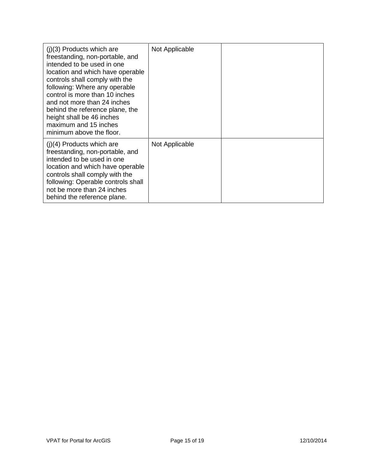| $(i)(3)$ Products which are<br>freestanding, non-portable, and<br>intended to be used in one<br>location and which have operable<br>controls shall comply with the<br>following: Where any operable<br>control is more than 10 inches<br>and not more than 24 inches<br>behind the reference plane, the<br>height shall be 46 inches<br>maximum and 15 inches<br>minimum above the floor. | Not Applicable |  |
|-------------------------------------------------------------------------------------------------------------------------------------------------------------------------------------------------------------------------------------------------------------------------------------------------------------------------------------------------------------------------------------------|----------------|--|
| $(i)(4)$ Products which are<br>freestanding, non-portable, and<br>intended to be used in one<br>location and which have operable<br>controls shall comply with the<br>following: Operable controls shall<br>not be more than 24 inches<br>behind the reference plane.                                                                                                                     | Not Applicable |  |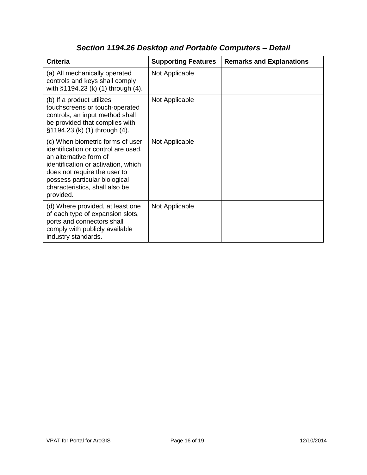| <b>Criteria</b>                                                                                                                                                                                                                                          | <b>Supporting Features</b> | <b>Remarks and Explanations</b> |
|----------------------------------------------------------------------------------------------------------------------------------------------------------------------------------------------------------------------------------------------------------|----------------------------|---------------------------------|
| (a) All mechanically operated<br>controls and keys shall comply<br>with §1194.23 (k) (1) through (4).                                                                                                                                                    | Not Applicable             |                                 |
| (b) If a product utilizes<br>touchscreens or touch-operated<br>controls, an input method shall<br>be provided that complies with<br>§1194.23 (k) (1) through (4).                                                                                        | Not Applicable             |                                 |
| (c) When biometric forms of user<br>identification or control are used,<br>an alternative form of<br>identification or activation, which<br>does not require the user to<br>possess particular biological<br>characteristics, shall also be<br>provided. | Not Applicable             |                                 |
| (d) Where provided, at least one<br>of each type of expansion slots,<br>ports and connectors shall<br>comply with publicly available<br>industry standards.                                                                                              | Not Applicable             |                                 |

## *Section 1194.26 Desktop and Portable Computers – Detail*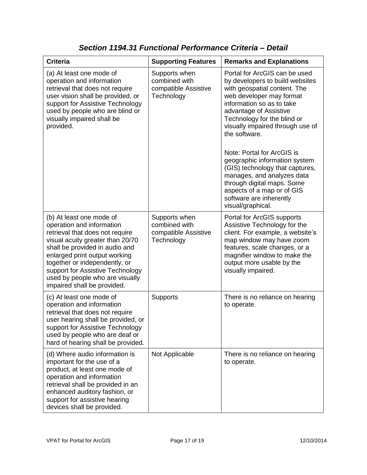| <b>Criteria</b>                                                                                                                                                                                                                                                                                                                        | <b>Supporting Features</b>                                           | <b>Remarks and Explanations</b>                                                                                                                                                                                                                                                                                                                                                                                                                                                                                     |
|----------------------------------------------------------------------------------------------------------------------------------------------------------------------------------------------------------------------------------------------------------------------------------------------------------------------------------------|----------------------------------------------------------------------|---------------------------------------------------------------------------------------------------------------------------------------------------------------------------------------------------------------------------------------------------------------------------------------------------------------------------------------------------------------------------------------------------------------------------------------------------------------------------------------------------------------------|
| (a) At least one mode of<br>operation and information<br>retrieval that does not require<br>user vision shall be provided, or<br>support for Assistive Technology<br>used by people who are blind or<br>visually impaired shall be<br>provided.                                                                                        | Supports when<br>combined with<br>compatible Assistive<br>Technology | Portal for ArcGIS can be used<br>by developers to build websites<br>with geospatial content. The<br>web developer may format<br>information so as to take<br>advantage of Assistive<br>Technology for the blind or<br>visually impaired through use of<br>the software.<br>Note: Portal for ArcGIS is<br>geographic information system<br>(GIS) technology that captures,<br>manages, and analyzes data<br>through digital maps. Some<br>aspects of a map or of GIS<br>software are inherently<br>visual/graphical. |
| (b) At least one mode of<br>operation and information<br>retrieval that does not require<br>visual acuity greater than 20/70<br>shall be provided in audio and<br>enlarged print output working<br>together or independently, or<br>support for Assistive Technology<br>used by people who are visually<br>impaired shall be provided. | Supports when<br>combined with<br>compatible Assistive<br>Technology | Portal for ArcGIS supports<br>Assistive Technology for the<br>client. For example, a website's<br>map window may have zoom<br>features, scale changes, or a<br>magnifier window to make the<br>output more usable by the<br>visually impaired.                                                                                                                                                                                                                                                                      |
| (c) At least one mode of<br>operation and information<br>retrieval that does not require<br>user hearing shall be provided, or<br>support for Assistive Technology<br>used by people who are deaf or<br>hard of hearing shall be provided.                                                                                             | Supports                                                             | There is no reliance on hearing<br>to operate.                                                                                                                                                                                                                                                                                                                                                                                                                                                                      |
| (d) Where audio information is<br>important for the use of a<br>product, at least one mode of<br>operation and information<br>retrieval shall be provided in an<br>enhanced auditory fashion, or<br>support for assistive hearing<br>devices shall be provided.                                                                        | Not Applicable                                                       | There is no reliance on hearing<br>to operate.                                                                                                                                                                                                                                                                                                                                                                                                                                                                      |

*Section 1194.31 Functional Performance Criteria – Detail*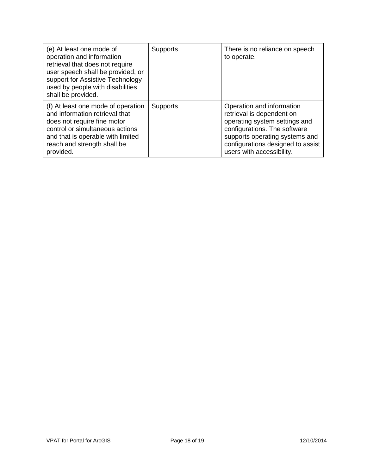| (e) At least one mode of<br>operation and information<br>retrieval that does not require<br>user speech shall be provided, or<br>support for Assistive Technology<br>used by people with disabilities<br>shall be provided. | <b>Supports</b> | There is no reliance on speech<br>to operate.                                                                                                                                                                               |
|-----------------------------------------------------------------------------------------------------------------------------------------------------------------------------------------------------------------------------|-----------------|-----------------------------------------------------------------------------------------------------------------------------------------------------------------------------------------------------------------------------|
| (f) At least one mode of operation<br>and information retrieval that<br>does not require fine motor<br>control or simultaneous actions<br>and that is operable with limited<br>reach and strength shall be<br>provided.     | <b>Supports</b> | Operation and information<br>retrieval is dependent on<br>operating system settings and<br>configurations. The software<br>supports operating systems and<br>configurations designed to assist<br>users with accessibility. |